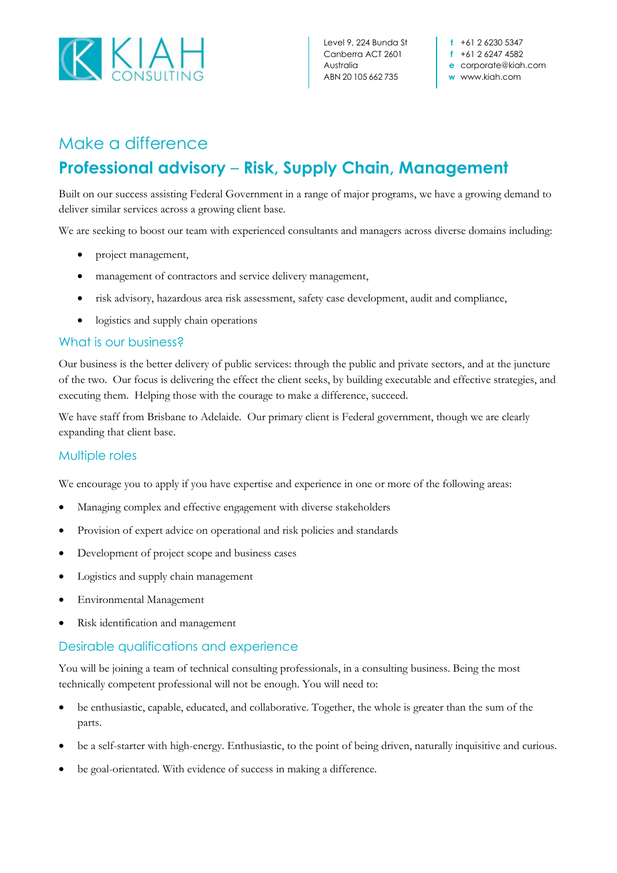

## Make a difference **Professional advisory** – **Risk, Supply Chain, Management**

Built on our success assisting Federal Government in a range of major programs, we have a growing demand to deliver similar services across a growing client base.

We are seeking to boost our team with experienced consultants and managers across diverse domains including:

- project management,
- management of contractors and service delivery management,
- risk advisory, hazardous area risk assessment, safety case development, audit and compliance,
- logistics and supply chain operations

## What is our business?

Our business is the better delivery of public services: through the public and private sectors, and at the juncture of the two. Our focus is delivering the effect the client seeks, by building executable and effective strategies, and executing them. Helping those with the courage to make a difference, succeed.

We have staff from Brisbane to Adelaide. Our primary client is Federal government, though we are clearly expanding that client base.

## Multiple roles

We encourage you to apply if you have expertise and experience in one or more of the following areas:

- Managing complex and effective engagement with diverse stakeholders
- Provision of expert advice on operational and risk policies and standards
- Development of project scope and business cases
- Logistics and supply chain management
- Environmental Management
- Risk identification and management

## Desirable qualifications and experience

You will be joining a team of technical consulting professionals, in a consulting business. Being the most technically competent professional will not be enough. You will need to:

- be enthusiastic, capable, educated, and collaborative. Together, the whole is greater than the sum of the parts.
- be a self-starter with high-energy. Enthusiastic, to the point of being driven, naturally inquisitive and curious.
- be goal-orientated. With evidence of success in making a difference.